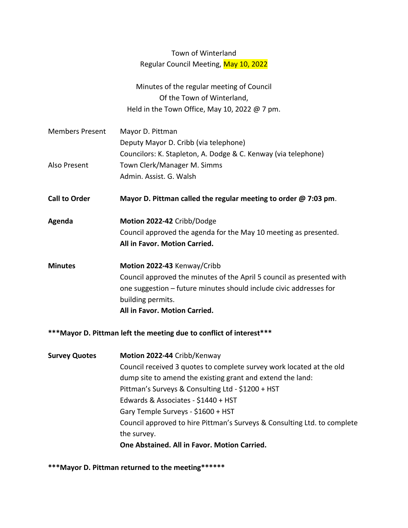### Town of Winterland Regular Council Meeting, May 10, 2022

Minutes of the regular meeting of Council Of the Town of Winterland, Held in the Town Office, May 10, 2022 @ 7 pm.

- Members Present Mayor D. Pittman Deputy Mayor D. Cribb (via telephone) Councilors: K. Stapleton, A. Dodge & C. Kenway (via telephone) Also Present Town Clerk/Manager M. Simms Admin. Assist. G. Walsh
- **Call to Order Mayor D. Pittman called the regular meeting to order @ 7:03 pm**.
- **Agenda Motion 2022-42** Cribb/Dodge Council approved the agenda for the May 10 meeting as presented. **All in Favor. Motion Carried.**
- **Minutes Motion 2022-43** Kenway/Cribb Council approved the minutes of the April 5 council as presented with one suggestion – future minutes should include civic addresses for building permits. **All in Favor. Motion Carried.**

#### **\*\*\*Mayor D. Pittman left the meeting due to conflict of interest\*\*\***

| <b>Survey Quotes</b> | Motion 2022-44 Cribb/Kenway                                              |
|----------------------|--------------------------------------------------------------------------|
|                      | Council received 3 quotes to complete survey work located at the old     |
|                      | dump site to amend the existing grant and extend the land:               |
|                      | Pittman's Surveys & Consulting Ltd - \$1200 + HST                        |
|                      | Edwards & Associates - \$1440 + HST                                      |
|                      | Gary Temple Surveys - \$1600 + HST                                       |
|                      | Council approved to hire Pittman's Surveys & Consulting Ltd. to complete |
|                      | the survey.                                                              |
|                      | One Abstained. All in Favor. Motion Carried.                             |

**\*\*\*Mayor D. Pittman returned to the meeting\*\*\*\*\*\***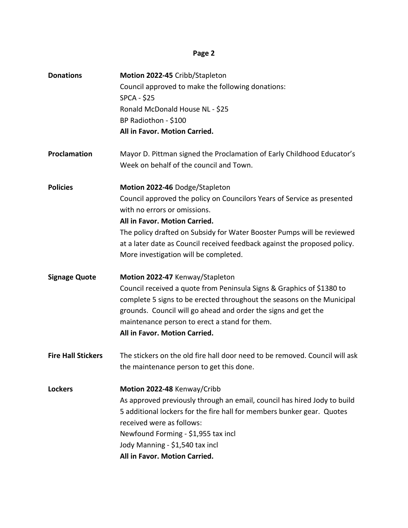| <b>Donations</b>          | Motion 2022-45 Cribb/Stapleton                                              |
|---------------------------|-----------------------------------------------------------------------------|
|                           | Council approved to make the following donations:                           |
|                           | <b>SPCA - \$25</b>                                                          |
|                           | Ronald McDonald House NL - \$25                                             |
|                           | BP Radiothon - \$100                                                        |
|                           | All in Favor. Motion Carried.                                               |
| Proclamation              | Mayor D. Pittman signed the Proclamation of Early Childhood Educator's      |
|                           | Week on behalf of the council and Town.                                     |
| <b>Policies</b>           | Motion 2022-46 Dodge/Stapleton                                              |
|                           | Council approved the policy on Councilors Years of Service as presented     |
|                           | with no errors or omissions.                                                |
|                           | All in Favor. Motion Carried.                                               |
|                           | The policy drafted on Subsidy for Water Booster Pumps will be reviewed      |
|                           | at a later date as Council received feedback against the proposed policy.   |
|                           | More investigation will be completed.                                       |
| <b>Signage Quote</b>      | Motion 2022-47 Kenway/Stapleton                                             |
|                           | Council received a quote from Peninsula Signs & Graphics of \$1380 to       |
|                           | complete 5 signs to be erected throughout the seasons on the Municipal      |
|                           | grounds. Council will go ahead and order the signs and get the              |
|                           | maintenance person to erect a stand for them.                               |
|                           | All in Favor. Motion Carried.                                               |
| <b>Fire Hall Stickers</b> | The stickers on the old fire hall door need to be removed. Council will ask |
|                           | the maintenance person to get this done.                                    |
| <b>Lockers</b>            | Motion 2022-48 Kenway/Cribb                                                 |
|                           | As approved previously through an email, council has hired Jody to build    |
|                           | 5 additional lockers for the fire hall for members bunker gear. Quotes      |
|                           | received were as follows:                                                   |
|                           | Newfound Forming - \$1,955 tax incl                                         |
|                           | Jody Manning - \$1,540 tax incl                                             |
|                           | All in Favor. Motion Carried.                                               |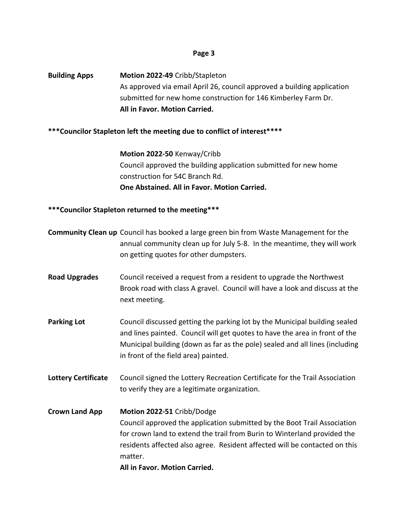**Building Apps Motion 2022-49** Cribb/Stapleton As approved via email April 26, council approved a building application submitted for new home construction for 146 Kimberley Farm Dr. **All in Favor. Motion Carried.**

#### **\*\*\*Councilor Stapleton left the meeting due to conflict of interest\*\*\*\***

**Motion 2022-50** Kenway/Cribb Council approved the building application submitted for new home construction for 54C Branch Rd. **One Abstained. All in Favor. Motion Carried.**

### **\*\*\*Councilor Stapleton returned to the meeting\*\*\***

|                            | <b>Community Clean up</b> Council has booked a large green bin from Waste Management for the<br>annual community clean up for July 5-8. In the meantime, they will work<br>on getting quotes for other dumpsters.                                                                                            |
|----------------------------|--------------------------------------------------------------------------------------------------------------------------------------------------------------------------------------------------------------------------------------------------------------------------------------------------------------|
| <b>Road Upgrades</b>       | Council received a request from a resident to upgrade the Northwest<br>Brook road with class A gravel. Council will have a look and discuss at the<br>next meeting.                                                                                                                                          |
| <b>Parking Lot</b>         | Council discussed getting the parking lot by the Municipal building sealed<br>and lines painted. Council will get quotes to have the area in front of the<br>Municipal building (down as far as the pole) sealed and all lines (including<br>in front of the field area) painted.                            |
| <b>Lottery Certificate</b> | Council signed the Lottery Recreation Certificate for the Trail Association<br>to verify they are a legitimate organization.                                                                                                                                                                                 |
| <b>Crown Land App</b>      | Motion 2022-51 Cribb/Dodge<br>Council approved the application submitted by the Boot Trail Association<br>for crown land to extend the trail from Burin to Winterland provided the<br>residents affected also agree. Resident affected will be contacted on this<br>matter.<br>All in Favor. Motion Carried. |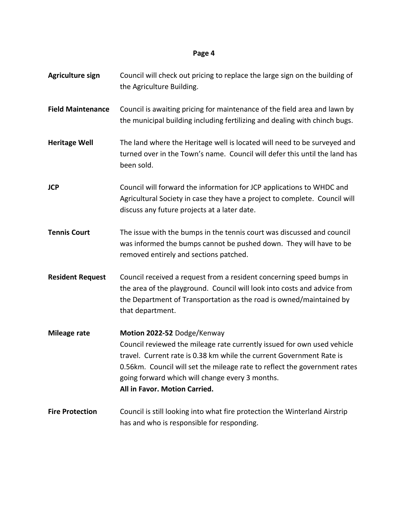| Agriculture sign         | Council will check out pricing to replace the large sign on the building of<br>the Agriculture Building.                                                                                                                                                                                                                                        |
|--------------------------|-------------------------------------------------------------------------------------------------------------------------------------------------------------------------------------------------------------------------------------------------------------------------------------------------------------------------------------------------|
| <b>Field Maintenance</b> | Council is awaiting pricing for maintenance of the field area and lawn by<br>the municipal building including fertilizing and dealing with chinch bugs.                                                                                                                                                                                         |
| <b>Heritage Well</b>     | The land where the Heritage well is located will need to be surveyed and<br>turned over in the Town's name. Council will defer this until the land has<br>been sold.                                                                                                                                                                            |
| <b>JCP</b>               | Council will forward the information for JCP applications to WHDC and<br>Agricultural Society in case they have a project to complete. Council will<br>discuss any future projects at a later date.                                                                                                                                             |
| <b>Tennis Court</b>      | The issue with the bumps in the tennis court was discussed and council<br>was informed the bumps cannot be pushed down. They will have to be<br>removed entirely and sections patched.                                                                                                                                                          |
| <b>Resident Request</b>  | Council received a request from a resident concerning speed bumps in<br>the area of the playground. Council will look into costs and advice from<br>the Department of Transportation as the road is owned/maintained by<br>that department.                                                                                                     |
| Mileage rate             | Motion 2022-52 Dodge/Kenway<br>Council reviewed the mileage rate currently issued for own used vehicle<br>travel. Current rate is 0.38 km while the current Government Rate is<br>0.56km. Council will set the mileage rate to reflect the government rates<br>going forward which will change every 3 months.<br>All in Favor. Motion Carried. |
| <b>Fire Protection</b>   | Council is still looking into what fire protection the Winterland Airstrip<br>has and who is responsible for responding.                                                                                                                                                                                                                        |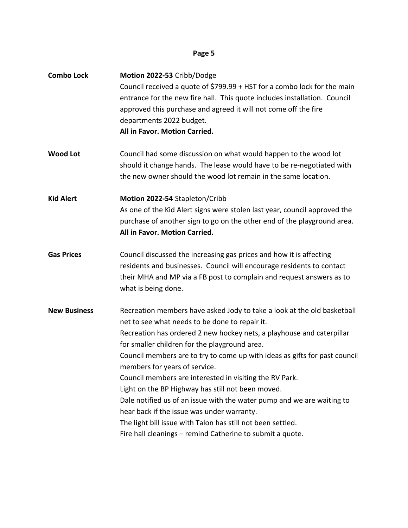| <b>Combo Lock</b>   | Motion 2022-53 Cribb/Dodge<br>Council received a quote of \$799.99 + HST for a combo lock for the main<br>entrance for the new fire hall. This quote includes installation. Council<br>approved this purchase and agreed it will not come off the fire<br>departments 2022 budget.<br>All in Favor. Motion Carried.                                                                                                                                                                                                                                                                                                                                                                                                                    |
|---------------------|----------------------------------------------------------------------------------------------------------------------------------------------------------------------------------------------------------------------------------------------------------------------------------------------------------------------------------------------------------------------------------------------------------------------------------------------------------------------------------------------------------------------------------------------------------------------------------------------------------------------------------------------------------------------------------------------------------------------------------------|
| <b>Wood Lot</b>     | Council had some discussion on what would happen to the wood lot<br>should it change hands. The lease would have to be re-negotiated with<br>the new owner should the wood lot remain in the same location.                                                                                                                                                                                                                                                                                                                                                                                                                                                                                                                            |
| <b>Kid Alert</b>    | Motion 2022-54 Stapleton/Cribb<br>As one of the Kid Alert signs were stolen last year, council approved the<br>purchase of another sign to go on the other end of the playground area.<br>All in Favor. Motion Carried.                                                                                                                                                                                                                                                                                                                                                                                                                                                                                                                |
| <b>Gas Prices</b>   | Council discussed the increasing gas prices and how it is affecting<br>residents and businesses. Council will encourage residents to contact<br>their MHA and MP via a FB post to complain and request answers as to<br>what is being done.                                                                                                                                                                                                                                                                                                                                                                                                                                                                                            |
| <b>New Business</b> | Recreation members have asked Jody to take a look at the old basketball<br>net to see what needs to be done to repair it.<br>Recreation has ordered 2 new hockey nets, a playhouse and caterpillar<br>for smaller children for the playground area.<br>Council members are to try to come up with ideas as gifts for past council<br>members for years of service.<br>Council members are interested in visiting the RV Park.<br>Light on the BP Highway has still not been moved.<br>Dale notified us of an issue with the water pump and we are waiting to<br>hear back if the issue was under warranty.<br>The light bill issue with Talon has still not been settled.<br>Fire hall cleanings - remind Catherine to submit a quote. |